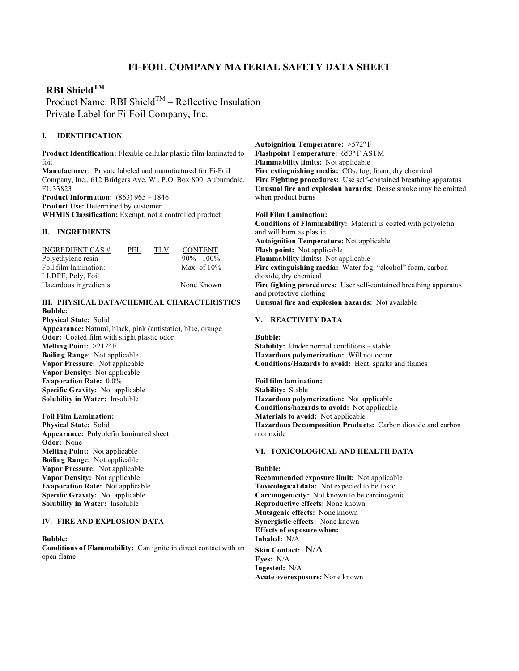# **FI-FOIL COMPANY MATERIAL SAFETY DATA SHEET**

# **RBI ShieldTM**

Product Name: RBI Shield<sup>TM</sup> – Reflective Insulation Private Label for Fi-Foil Company, Inc.

# **I. IDENTIFICATION**

**Product Identification:** Flexible cellular plastic film laminated to foil **Manufacturer:** Private labeled and manufactured for Fi-Foil Company, Inc., 612 Bridgers Ave. W., P.O. Box 800, Auburndale, FL 33823 **Product Information:** (863) 965 – 1846 **Product Use:** Determined by customer

**WHMIS Classification:** Exempt, not a controlled product

#### **II. INGREDIENTS**

| <b>INGREDIENT CAS #</b> | PEL. | TLV | <b>CONTENT</b> |
|-------------------------|------|-----|----------------|
| Polyethylene resin      |      |     | $90\% - 100\%$ |
| Foil film lamination:   |      |     | Max. of $10\%$ |
| LLDPE, Poly, Foil       |      |     |                |
| Hazardous ingredients   |      |     | None Known     |

### **III. PHYSICAL DATA/CHEMICAL CHARACTERISTICS Bubble:**

**Physical State:** Solid **Appearance:** Natural, black, pink (antistatic), blue, orange **Odor:** Coated film with slight plastic odor **Melting Point:** >212º F **Boiling Range:** Not applicable **Vapor Pressure:** Not applicable **Vapor Density:** Not applicable **Evaporation Rate:** 0.0% **Specific Gravity:** Not applicable **Solubility in Water:** Insoluble

**Foil Film Lamination: Physical State:** Solid **Appearance:** Polyolefin laminated sheet **Odor:** None **Melting Point:** Not applicable **Boiling Range:** Not applicable **Vapor Pressure:** Not applicable **Vapor Density:** Not applicable **Evaporation Rate:** Not applicable **Specific Gravity:** Not applicable **Solubility in Water:** Insoluble

#### **IV. FIRE AND EXPLOSION DATA**

**Bubble: Conditions of Flammability:** Can ignite in direct contact with an open flame

**Autoignition Temperature:** >572º F **Flashpoint Temperature:** 653º F ASTM **Flammability limits:** Not applicable Fire extinguishing media:  $CO<sub>2</sub>$ , fog, foam, dry chemical **Fire Fighting procedures:** Use self-contained breathing apparatus **Unusual fire and explosion hazards:** Dense smoke may be emitted when product burns

#### **Foil Film Lamination:**

**Conditions of Flammability:** Material is coated with polyolefin and will burn as plastic **Autoignition Temperature:** Not applicable **Flash point:** Not applicable **Flammability limits:** Not applicable **Fire extinguishing media:** Water fog, "alcohol" foam, carbon dioxide, dry chemical **Fire fighting procedures:** User self-contained breathing apparatus and protective clothing **Unusual fire and explosion hazards:** Not available

#### **V. REACTIVITY DATA**

**Bubble:**

**Stability:** Under normal conditions – stable **Hazardous polymerization:** Will not occur **Conditions/Hazards to avoid:** Heat, sparks and flames

**Foil film lamination: Stability:** Stable **Hazardous polymerization:** Not applicable **Conditions/hazards to avoid:** Not applicable **Materials to avoid:** Not applicable **Hazardous Decomposition Products:** Carbon dioxide and carbon monoxide

## **VI. TOXICOLOGICAL AND HEALTH DATA**

**Bubble: Recommended exposure limit:** Not applicable **Toxicological data:** Not expected to be toxic **Carcinogenicity:** Not known to be carcinogenic **Reproductive effects:** None known **Mutagenic effects:** None known **Synergistic effects:** None known **Effects of exposure when: Inhaled:** N/A **Skin Contact:** N/A **Eyes:** N/A **Ingested:** N/A **Acute overexposure:** None known